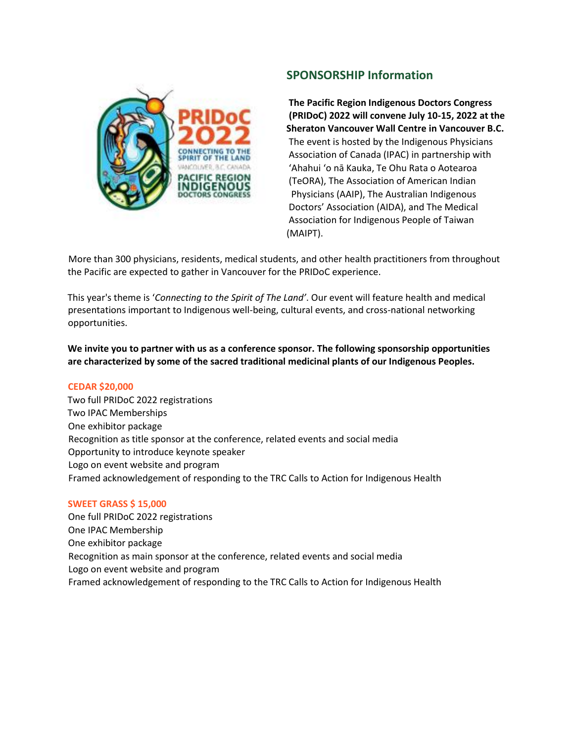# **SPONSORSHIP Information**



**The Pacific Region Indigenous Doctors Congress (PRIDoC) 2022 will convene July 10-15, 2022 at the Sheraton Vancouver Wall Centre in Vancouver B.C.**  The event is hosted by the Indigenous Physicians Association of Canada (IPAC) in partnership with 'Ahahui 'o nā Kauka, Te Ohu Rata o Aotearoa (TeORA), The Association of American Indian Physicians (AAIP), The Australian Indigenous Doctors' Association (AIDA), and The Medical Association for Indigenous People of Taiwan (MAIPT).

More than 300 physicians, residents, medical students, and other health practitioners from throughout the Pacific are expected to gather in Vancouver for the PRIDoC experience.

This year's theme is '*Connecting to the Spirit of The Land'*. Our event will feature health and medical presentations important to Indigenous well-being, cultural events, and cross-national networking opportunities.

**We invite you to partner with us as a conference sponsor. The following sponsorship opportunities are characterized by some of the sacred traditional medicinal plants of our Indigenous Peoples.** 

### **CEDAR \$20,000**

Two full PRIDoC 2022 registrations Two IPAC Memberships One exhibitor package Recognition as title sponsor at the conference, related events and social media Opportunity to introduce keynote speaker Logo on event website and program Framed acknowledgement of responding to the TRC Calls to Action for Indigenous Health

### **SWEET GRASS \$ 15,000**

One full PRIDoC 2022 registrations One IPAC Membership One exhibitor package Recognition as main sponsor at the conference, related events and social media Logo on event website and program Framed acknowledgement of responding to the TRC Calls to Action for Indigenous Health